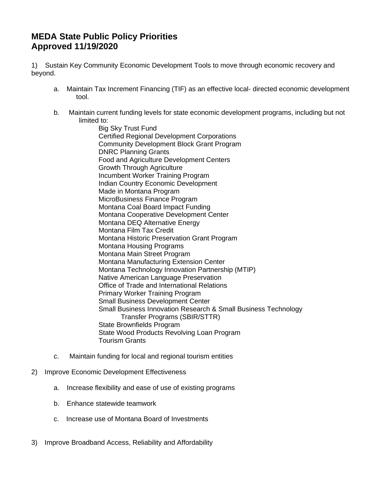## **MEDA State Public Policy Priorities Approved 11/19/2020**

1) Sustain Key Community Economic Development Tools to move through economic recovery and beyond.

- a. Maintain Tax Increment Financing (TIF) as an effective local- directed economic development tool.
- b. Maintain current funding levels for state economic development programs, including but not limited to:

Big Sky Trust Fund Certified Regional Development Corporations Community Development Block Grant Program DNRC Planning Grants Food and Agriculture Development Centers Growth Through Agriculture Incumbent Worker Training Program Indian Country Economic Development Made in Montana Program MicroBusiness Finance Program Montana Coal Board Impact Funding Montana Cooperative Development Center Montana DEQ Alternative Energy Montana Film Tax Credit Montana Historic Preservation Grant Program Montana Housing Programs Montana Main Street Program Montana Manufacturing Extension Center Montana Technology Innovation Partnership (MTIP) Native American Language Preservation Office of Trade and International Relations Primary Worker Training Program Small Business Development Center Small Business Innovation Research & Small Business Technology Transfer Programs (SBIR/STTR) State Brownfields Program State Wood Products Revolving Loan Program Tourism Grants

- c. Maintain funding for local and regional tourism entities
- 2) Improve Economic Development Effectiveness
	- a. Increase flexibility and ease of use of existing programs
	- b. Enhance statewide teamwork
	- c. Increase use of Montana Board of Investments
- 3) Improve Broadband Access, Reliability and Affordability